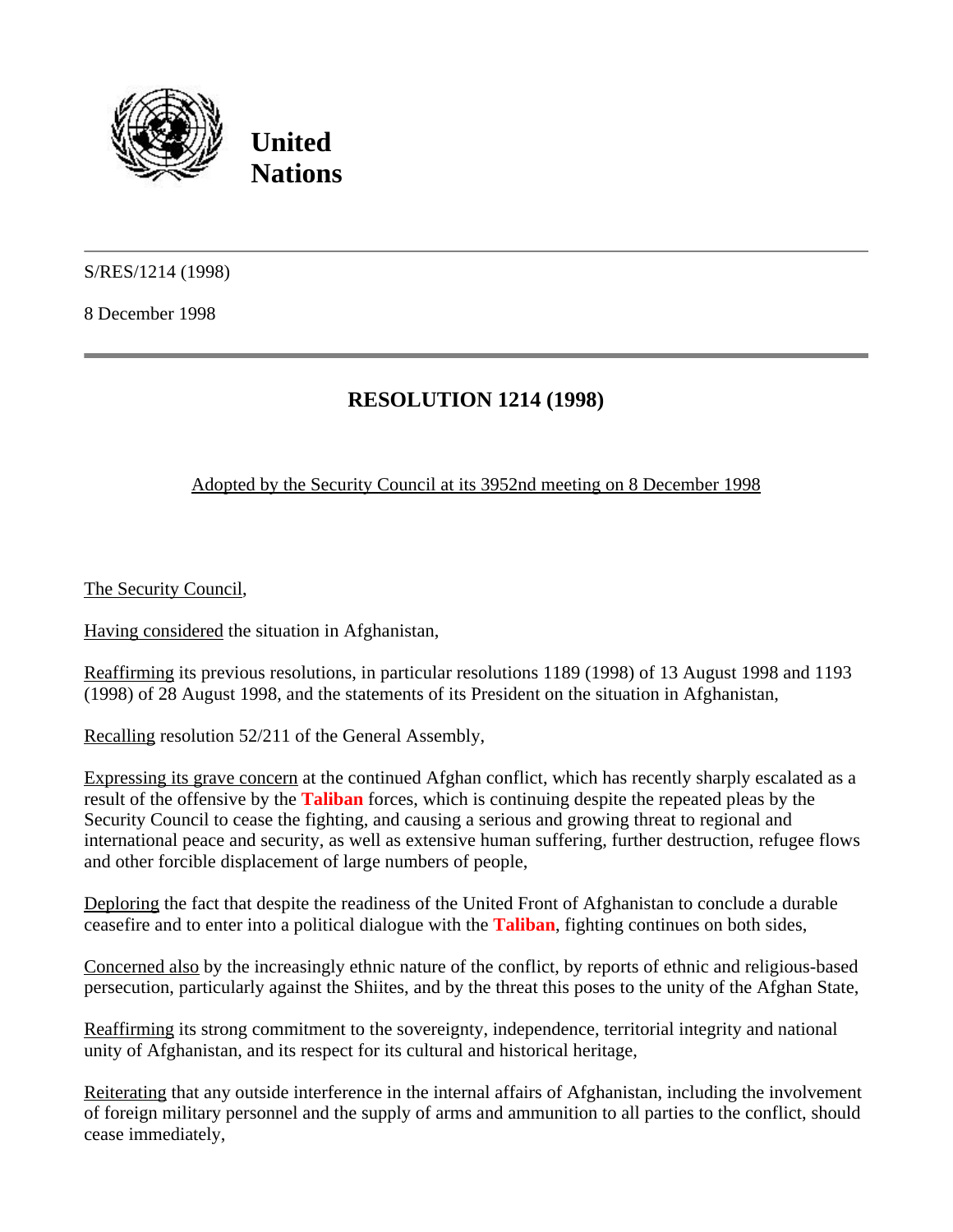

**United Nations**

S/RES/1214 (1998)

8 December 1998

## **RESOLUTION 1214 (1998)**

## Adopted by the Security Council at its 3952nd meeting on 8 December 1998

The Security Council,

Having considered the situation in Afghanistan,

Reaffirming its previous resolutions, in particular resolutions 1189 (1998) of 13 August 1998 and 1193 (1998) of 28 August 1998, and the statements of its President on the situation in Afghanistan,

Recalling resolution 52/211 of the General Assembly,

Expressing its grave concern at the continued Afghan conflict, which has recently sharply escalated as a result of the offensive by the **Taliban** forces, which is continuing despite the repeated pleas by the Security Council to cease the fighting, and causing a serious and growing threat to regional and international peace and security, as well as extensive human suffering, further destruction, refugee flows and other forcible displacement of large numbers of people,

Deploring the fact that despite the readiness of the United Front of Afghanistan to conclude a durable ceasefire and to enter into a political dialogue with the **Taliban**, fighting continues on both sides,

Concerned also by the increasingly ethnic nature of the conflict, by reports of ethnic and religious-based persecution, particularly against the Shiites, and by the threat this poses to the unity of the Afghan State,

Reaffirming its strong commitment to the sovereignty, independence, territorial integrity and national unity of Afghanistan, and its respect for its cultural and historical heritage,

Reiterating that any outside interference in the internal affairs of Afghanistan, including the involvement of foreign military personnel and the supply of arms and ammunition to all parties to the conflict, should cease immediately,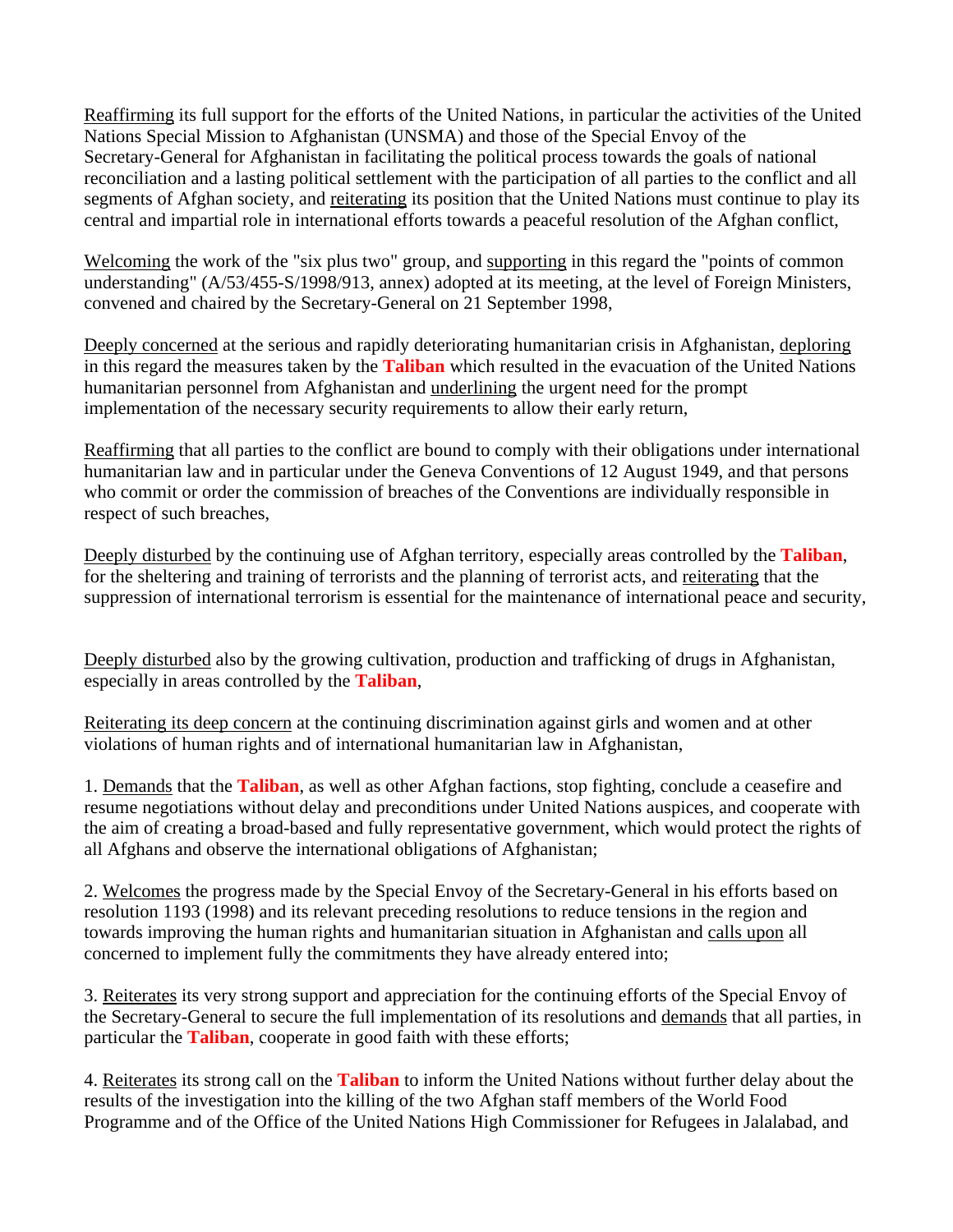Reaffirming its full support for the efforts of the United Nations, in particular the activities of the United Nations Special Mission to Afghanistan (UNSMA) and those of the Special Envoy of the Secretary-General for Afghanistan in facilitating the political process towards the goals of national reconciliation and a lasting political settlement with the participation of all parties to the conflict and all segments of Afghan society, and reiterating its position that the United Nations must continue to play its central and impartial role in international efforts towards a peaceful resolution of the Afghan conflict,

Welcoming the work of the "six plus two" group, and supporting in this regard the "points of common" understanding" (A/53/455-S/1998/913, annex) adopted at its meeting, at the level of Foreign Ministers, convened and chaired by the Secretary-General on 21 September 1998,

Deeply concerned at the serious and rapidly deteriorating humanitarian crisis in Afghanistan, deploring in this regard the measures taken by the **Taliban** which resulted in the evacuation of the United Nations humanitarian personnel from Afghanistan and underlining the urgent need for the prompt implementation of the necessary security requirements to allow their early return,

Reaffirming that all parties to the conflict are bound to comply with their obligations under international humanitarian law and in particular under the Geneva Conventions of 12 August 1949, and that persons who commit or order the commission of breaches of the Conventions are individually responsible in respect of such breaches,

Deeply disturbed by the continuing use of Afghan territory, especially areas controlled by the **Taliban**, for the sheltering and training of terrorists and the planning of terrorist acts, and reiterating that the suppression of international terrorism is essential for the maintenance of international peace and security,

Deeply disturbed also by the growing cultivation, production and trafficking of drugs in Afghanistan, especially in areas controlled by the **Taliban**,

Reiterating its deep concern at the continuing discrimination against girls and women and at other violations of human rights and of international humanitarian law in Afghanistan,

1. Demands that the **Taliban**, as well as other Afghan factions, stop fighting, conclude a ceasefire and resume negotiations without delay and preconditions under United Nations auspices, and cooperate with the aim of creating a broad-based and fully representative government, which would protect the rights of all Afghans and observe the international obligations of Afghanistan;

2. Welcomes the progress made by the Special Envoy of the Secretary-General in his efforts based on resolution 1193 (1998) and its relevant preceding resolutions to reduce tensions in the region and towards improving the human rights and humanitarian situation in Afghanistan and calls upon all concerned to implement fully the commitments they have already entered into;

3. Reiterates its very strong support and appreciation for the continuing efforts of the Special Envoy of the Secretary-General to secure the full implementation of its resolutions and demands that all parties, in particular the **Taliban**, cooperate in good faith with these efforts;

4. Reiterates its strong call on the **Taliban** to inform the United Nations without further delay about the results of the investigation into the killing of the two Afghan staff members of the World Food Programme and of the Office of the United Nations High Commissioner for Refugees in Jalalabad, and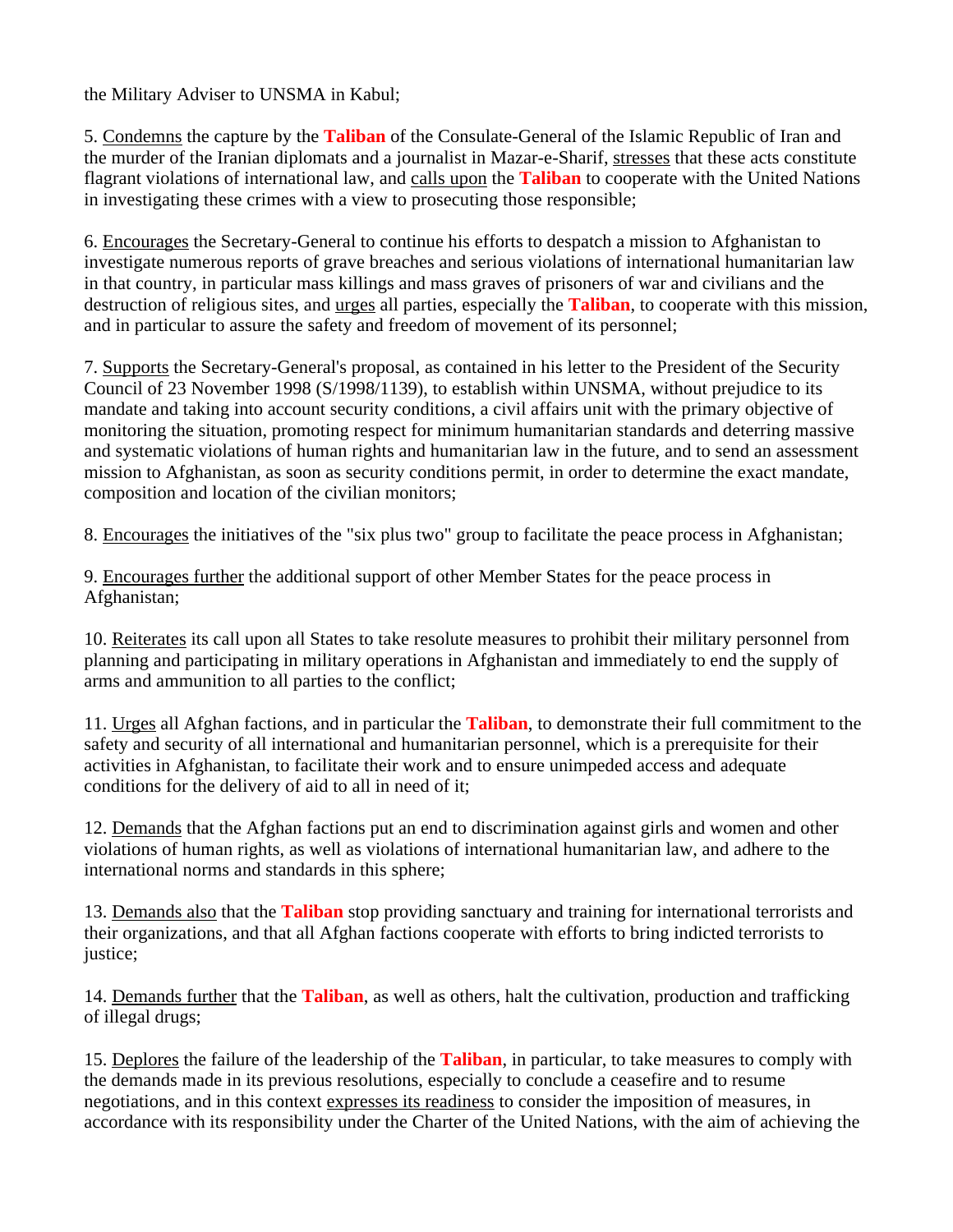the Military Adviser to UNSMA in Kabul;

5. Condemns the capture by the **Taliban** of the Consulate-General of the Islamic Republic of Iran and the murder of the Iranian diplomats and a journalist in Mazar-e-Sharif, stresses that these acts constitute flagrant violations of international law, and calls upon the **Taliban** to cooperate with the United Nations in investigating these crimes with a view to prosecuting those responsible;

6. Encourages the Secretary-General to continue his efforts to despatch a mission to Afghanistan to investigate numerous reports of grave breaches and serious violations of international humanitarian law in that country, in particular mass killings and mass graves of prisoners of war and civilians and the destruction of religious sites, and urges all parties, especially the **Taliban**, to cooperate with this mission, and in particular to assure the safety and freedom of movement of its personnel;

7. Supports the Secretary-General's proposal, as contained in his letter to the President of the Security Council of 23 November 1998 (S/1998/1139), to establish within UNSMA, without prejudice to its mandate and taking into account security conditions, a civil affairs unit with the primary objective of monitoring the situation, promoting respect for minimum humanitarian standards and deterring massive and systematic violations of human rights and humanitarian law in the future, and to send an assessment mission to Afghanistan, as soon as security conditions permit, in order to determine the exact mandate, composition and location of the civilian monitors;

8. Encourages the initiatives of the "six plus two" group to facilitate the peace process in Afghanistan;

9. Encourages further the additional support of other Member States for the peace process in Afghanistan;

10. Reiterates its call upon all States to take resolute measures to prohibit their military personnel from planning and participating in military operations in Afghanistan and immediately to end the supply of arms and ammunition to all parties to the conflict;

11. Urges all Afghan factions, and in particular the **Taliban**, to demonstrate their full commitment to the safety and security of all international and humanitarian personnel, which is a prerequisite for their activities in Afghanistan, to facilitate their work and to ensure unimpeded access and adequate conditions for the delivery of aid to all in need of it;

12. Demands that the Afghan factions put an end to discrimination against girls and women and other violations of human rights, as well as violations of international humanitarian law, and adhere to the international norms and standards in this sphere;

13. Demands also that the **Taliban** stop providing sanctuary and training for international terrorists and their organizations, and that all Afghan factions cooperate with efforts to bring indicted terrorists to justice;

14. Demands further that the **Taliban**, as well as others, halt the cultivation, production and trafficking of illegal drugs;

15. Deplores the failure of the leadership of the **Taliban**, in particular, to take measures to comply with the demands made in its previous resolutions, especially to conclude a ceasefire and to resume negotiations, and in this context expresses its readiness to consider the imposition of measures, in accordance with its responsibility under the Charter of the United Nations, with the aim of achieving the